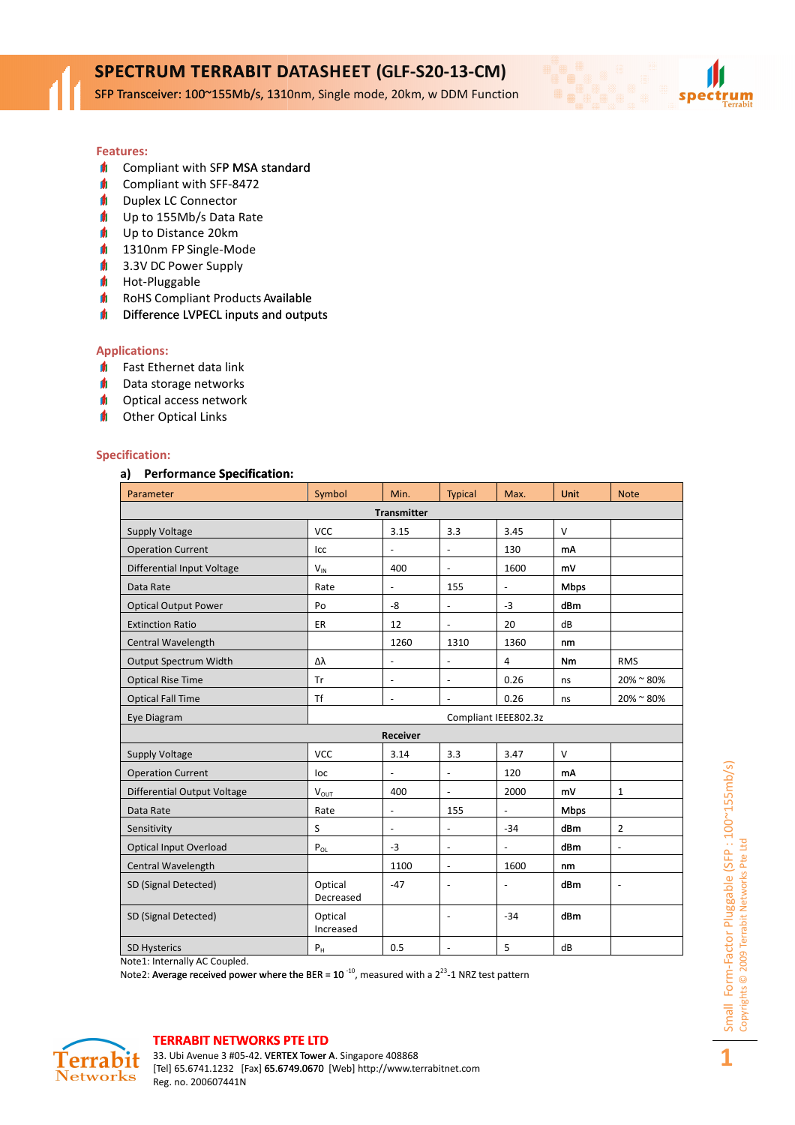SFP Transceiver: 100~155Mb/s, 1310nm, Single mode, 20km, w DDM Function

#### Features:

- **f** Compliant with SFP MSA standard
- $\blacksquare$ Compliant with SFF-8472
- $\blacksquare$ Duplex LC Connector
- $\blacksquare$ Up to 155Mb/s Data Rate
- $\mathbf{d}$ Up to Distance 20km
- $\mathbf{d}$ 1310nm FP Single-Mode
- $\mathbf{d}$ 3.3V DC Power Supply
- $\blacksquare$ Hot-Pluggable
- $\blacksquare$ RoHS Compliant Products Available
- $\blacksquare$ Difference LVPECL inputs and outputs

#### Applications:

- $\blacksquare$ Fast Ethernet data link
- $\blacksquare$ Data storage networks
- $\blacksquare$ Optical access network
- $\blacksquare$ Other Optical Links

#### Specification:

#### a) Performance Specification:

| Compliant with SFP MSA standard<br>Compliant with SFF-8472<br><b>Duplex LC Connector</b><br>Up to 155Mb/s Data Rate<br>Up to Distance 20km<br>1310nm FP Single-Mode<br>3.3V DC Power Supply<br>Hot-Pluggable<br>RoHS Compliant Products Available<br>Difference LVPECL inputs and outputs |                         |                          |                              |                              |        |                |  |
|-------------------------------------------------------------------------------------------------------------------------------------------------------------------------------------------------------------------------------------------------------------------------------------------|-------------------------|--------------------------|------------------------------|------------------------------|--------|----------------|--|
| lications:                                                                                                                                                                                                                                                                                |                         |                          |                              |                              |        |                |  |
| Fast Ethernet data link<br>Data storage networks                                                                                                                                                                                                                                          |                         |                          |                              |                              |        |                |  |
| Optical access network                                                                                                                                                                                                                                                                    |                         |                          |                              |                              |        |                |  |
| Other Optical Links                                                                                                                                                                                                                                                                       |                         |                          |                              |                              |        |                |  |
|                                                                                                                                                                                                                                                                                           |                         |                          |                              |                              |        |                |  |
| cification:                                                                                                                                                                                                                                                                               |                         |                          |                              |                              |        |                |  |
| <b>Performance Specification:</b><br>a)                                                                                                                                                                                                                                                   |                         |                          |                              |                              |        |                |  |
| Parameter                                                                                                                                                                                                                                                                                 | Symbol                  | Min.                     | Typical                      | Max.                         | Unit   | <b>Note</b>    |  |
|                                                                                                                                                                                                                                                                                           |                         | Transmitter              |                              |                              |        |                |  |
| Supply Voltage                                                                                                                                                                                                                                                                            | <b>VCC</b>              | 3.15                     | 3.3                          | 3.45                         | V      |                |  |
| <b>Operation Current</b>                                                                                                                                                                                                                                                                  | Icc                     |                          | -                            | 130                          | mA     |                |  |
| Differential Input Voltage                                                                                                                                                                                                                                                                | $V_{IN}$                | 400                      | ÷,                           | 1600                         | mV     |                |  |
| Data Rate                                                                                                                                                                                                                                                                                 | Rate                    |                          | 155                          | $\qquad \qquad \blacksquare$ | Mbps   |                |  |
| <b>Optical Output Power</b>                                                                                                                                                                                                                                                               | Po                      | -8                       | ÷                            | $-3$                         | dBm    |                |  |
| <b>Extinction Ratio</b>                                                                                                                                                                                                                                                                   | ER                      | 12                       | ÷,                           | 20                           | dB     |                |  |
| Central Wavelength                                                                                                                                                                                                                                                                        |                         | 1260                     | 1310                         | 1360                         | nm     |                |  |
| <b>Output Spectrum Width</b>                                                                                                                                                                                                                                                              | Δλ                      | $\overline{\phantom{a}}$ | ÷                            | 4                            | Nm     | <b>RMS</b>     |  |
| <b>Optical Rise Time</b>                                                                                                                                                                                                                                                                  | Tr                      | $\blacksquare$           | $\overline{\phantom{a}}$     | 0.26                         | ns     | $20\%$ ~ 80%   |  |
| <b>Optical Fall Time</b>                                                                                                                                                                                                                                                                  | Τf                      |                          |                              | 0.26                         | ns     | 20%~80%        |  |
| Eye Diagram                                                                                                                                                                                                                                                                               |                         | Compliant IEEE802.3z     |                              |                              |        |                |  |
| Receiver                                                                                                                                                                                                                                                                                  |                         |                          |                              |                              |        |                |  |
| <b>Supply Voltage</b>                                                                                                                                                                                                                                                                     | <b>VCC</b>              | 3.14                     | 3.3                          | 3.47                         | $\vee$ |                |  |
| <b>Operation Current</b>                                                                                                                                                                                                                                                                  | loc                     |                          |                              | 120                          | mA     |                |  |
| <b>Differential Output Voltage</b>                                                                                                                                                                                                                                                        | <b>V</b> <sub>OUT</sub> | 400                      | ÷,                           | 2000                         | mV     | 1              |  |
| Data Rate                                                                                                                                                                                                                                                                                 | Rate                    |                          | 155                          |                              | Mbps   |                |  |
| Sensitivity                                                                                                                                                                                                                                                                               | S                       | $\blacksquare$           | $\blacksquare$               | $-34$                        | dBm    | $\overline{2}$ |  |
| <b>Optical Input Overload</b>                                                                                                                                                                                                                                                             | $P_{OL}$                | $-3$                     | $\blacksquare$               | $\overline{\phantom{0}}$     | dBm    | $\frac{1}{2}$  |  |
| Central Wavelength                                                                                                                                                                                                                                                                        |                         | 1100                     | $\qquad \qquad \blacksquare$ | 1600                         | nm     |                |  |
| SD (Signal Detected)                                                                                                                                                                                                                                                                      | Optical<br>Decreased    | $-47$                    | ÷                            |                              | dBm    |                |  |
| SD (Signal Detected)                                                                                                                                                                                                                                                                      | Optical<br>Increased    |                          | $\overline{\phantom{a}}$     | $-34$                        | dBm    |                |  |
| SD Hysterics                                                                                                                                                                                                                                                                              | $P_H$                   | 0.5                      |                              | 5                            | dB     |                |  |

Note1: Internally AC Coupled.

Note2: Average received power where the BER =  $10^{-10}$ , measured with a  $2^{23}$ -1 NRZ test pattern



#### TERRABIT NETWORKS PTE LTD

33. Ubi Avenue 3 #05-42. VERTEX Tower A. Singapore 408868 [Tel] 65.6741.1232 [Fax] 65.6749.0670 [Web] http://www.terrabitnet.com Reg. no. 200607441N

1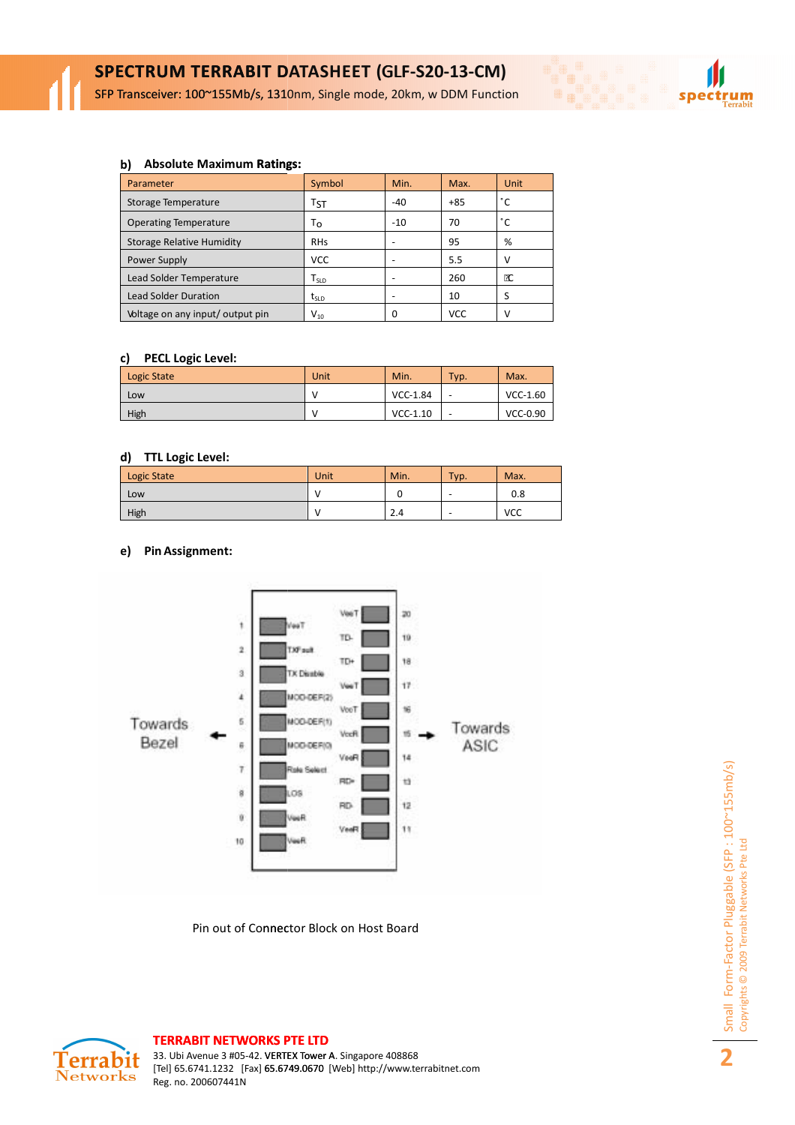SFP Transceiver: 100~155Mb/s, 1310nm, Single mode, 20km, w DDM Function

#### b) Absolute Maximum Ratings:

| Parameter                        | Symbol                         | Min.  | Max.  | Unit |
|----------------------------------|--------------------------------|-------|-------|------|
| Storage Temperature              | Tst                            | $-40$ | $+85$ | °C   |
| <b>Operating Temperature</b>     | То                             | $-10$ | 70    | °C   |
| <b>Storage Relative Humidity</b> | <b>RHs</b>                     |       | 95    | %    |
| <b>Power Supply</b>              | <b>VCC</b>                     |       | 5.5   |      |
| Lead Solder Temperature          | $T_{\scriptstyle{\text{SLD}}}$ |       | 260   | Œ    |
| <b>Lead Solder Duration</b>      | tsip                           |       | 10    |      |
| Voltage on any input/output pin  | $\mathsf{V}_{\mathsf{10}}$     | 0     | VCC   |      |

### c) PECL Logic Level:

| Logic State | Unit | Min.       | Typ. | Max.       |
|-------------|------|------------|------|------------|
| Low         |      | VCC-1.84   | -    | $VCC-1.60$ |
| High        |      | $VCC-1.10$ |      | VCC-0.90   |

#### d) TTL Logic Level:

| Logic State | Unit | Min. | Typ. | Max. |
|-------------|------|------|------|------|
| Low         |      |      | -    | 0.8  |
| High        |      | 2.4  | -    | VCC  |

## e) Pin Assignment:



Pin out of Connector Block on Host Board



spectrum